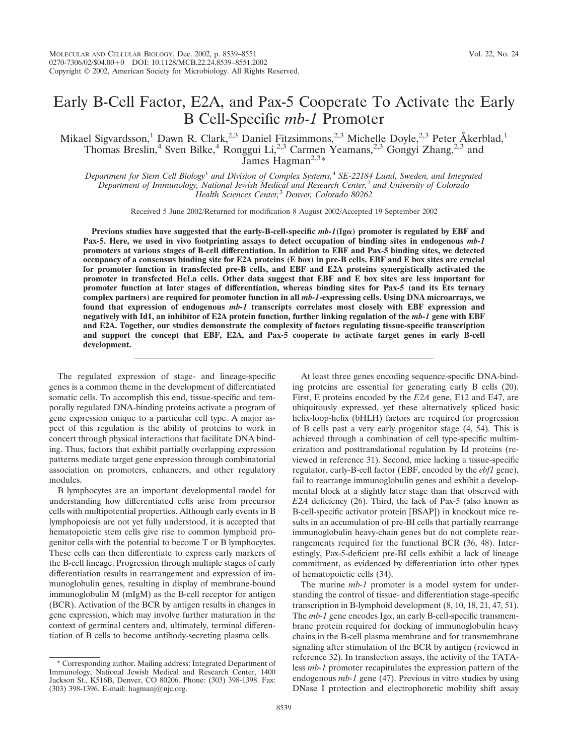# Early B-Cell Factor, E2A, and Pax-5 Cooperate To Activate the Early B Cell-Specific *mb-1* Promoter

Mikael Sigvardsson,<sup>1</sup> Dawn R. Clark,<sup>2,3</sup> Daniel Fitzsimmons,<sup>2,3</sup> Michelle Doyle,<sup>2,3</sup> Peter Åkerblad,<sup>1</sup> Thomas Breslin,<sup>4</sup> Sven Bilke,<sup>4</sup> Ronggui Li,<sup>2,3</sup> Carmen Yeamans,<sup>2,3</sup> Gongyi Zhang,<sup>2,3</sup> and James Hagman<sup>2,3\*</sup>

*Department for Stem Cell Biology*<sup>1</sup> *and Division of Complex Systems,*<sup>4</sup> *SE-22184 Lund, Sweden, and Integrated Department of Immunology, National Jewish Medical and Research Center,*<sup>2</sup> *and University of Colorado Health Sciences Center,*<sup>3</sup> *Denver, Colorado 80262*

Received 5 June 2002/Returned for modification 8 August 2002/Accepted 19 September 2002

**Previous studies have suggested that the early-B-cell-specific**  $mb-1$ **<b>(Ig** $\alpha$ ) promoter is regulated by EBF and **Pax-5. Here, we used in vivo footprinting assays to detect occupation of binding sites in endogenous** *mb-1* **promoters at various stages of B-cell differentiation. In addition to EBF and Pax-5 binding sites, we detected occupancy of a consensus binding site for E2A proteins (E box) in pre-B cells. EBF and E box sites are crucial for promoter function in transfected pre-B cells, and EBF and E2A proteins synergistically activated the promoter in transfected HeLa cells. Other data suggest that EBF and E box sites are less important for promoter function at later stages of differentiation, whereas binding sites for Pax-5 (and its Ets ternary complex partners) are required for promoter function in all** *mb-1***-expressing cells. Using DNA microarrays, we found that expression of endogenous** *mb-1* **transcripts correlates most closely with EBF expression and negatively with Id1, an inhibitor of E2A protein function, further linking regulation of the** *mb-1* **gene with EBF and E2A. Together, our studies demonstrate the complexity of factors regulating tissue-specific transcription and support the concept that EBF, E2A, and Pax-5 cooperate to activate target genes in early B-cell development.**

The regulated expression of stage- and lineage-specific genes is a common theme in the development of differentiated somatic cells. To accomplish this end, tissue-specific and temporally regulated DNA-binding proteins activate a program of gene expression unique to a particular cell type. A major aspect of this regulation is the ability of proteins to work in concert through physical interactions that facilitate DNA binding. Thus, factors that exhibit partially overlapping expression patterns mediate target gene expression through combinatorial association on promoters, enhancers, and other regulatory modules.

B lymphocytes are an important developmental model for understanding how differentiated cells arise from precursor cells with multipotential properties. Although early events in B lymphopoiesis are not yet fully understood, it is accepted that hematopoietic stem cells give rise to common lymphoid progenitor cells with the potential to become T or B lymphocytes. These cells can then differentiate to express early markers of the B-cell lineage. Progression through multiple stages of early differentiation results in rearrangement and expression of immunoglobulin genes, resulting in display of membrane-bound immunoglobulin M (mIgM) as the B-cell receptor for antigen (BCR). Activation of the BCR by antigen results in changes in gene expression, which may involve further maturation in the context of germinal centers and, ultimately, terminal differentiation of B cells to become antibody-secreting plasma cells.

At least three genes encoding sequence-specific DNA-binding proteins are essential for generating early B cells (20). First, E proteins encoded by the *E2A* gene, E12 and E47, are ubiquitously expressed, yet these alternatively spliced basic helix-loop-helix (bHLH) factors are required for progression of B cells past a very early progenitor stage (4, 54). This is achieved through a combination of cell type-specific multimerization and posttranslational regulation by Id proteins (reviewed in reference 31). Second, mice lacking a tissue-specific regulator, early-B-cell factor (EBF, encoded by the *ebf1* gene), fail to rearrange immunoglobulin genes and exhibit a developmental block at a slightly later stage than that observed with *E2A* deficiency (26). Third, the lack of Pax-5 (also known as B-cell-specific activator protein [BSAP]) in knockout mice results in an accumulation of pre-BI cells that partially rearrange immunoglobulin heavy-chain genes but do not complete rearrangements required for the functional BCR (36, 48). Interestingly, Pax-5-deficient pre-BI cells exhibit a lack of lineage commitment, as evidenced by differentiation into other types of hematopoietic cells (34).

The murine *mb-1* promoter is a model system for understanding the control of tissue- and differentiation stage-specific transcription in B-lymphoid development (8, 10, 18, 21, 47, 51). The  $mb-1$  gene encodes Ig $\alpha$ , an early B-cell-specific transmembrane protein required for docking of immunoglobulin heavy chains in the B-cell plasma membrane and for transmembrane signaling after stimulation of the BCR by antigen (reviewed in reference 32). In transfection assays, the activity of the TATAless *mb-1* promoter recapitulates the expression pattern of the endogenous *mb-1* gene (47). Previous in vitro studies by using DNase I protection and electrophoretic mobility shift assay

<sup>\*</sup> Corresponding author. Mailing address: Integrated Department of Immunology, National Jewish Medical and Research Center, 1400 Jackson St., K516B, Denver, CO 80206. Phone: (303) 398-1398. Fax: (303) 398-1396. E-mail: hagmanj@njc.org.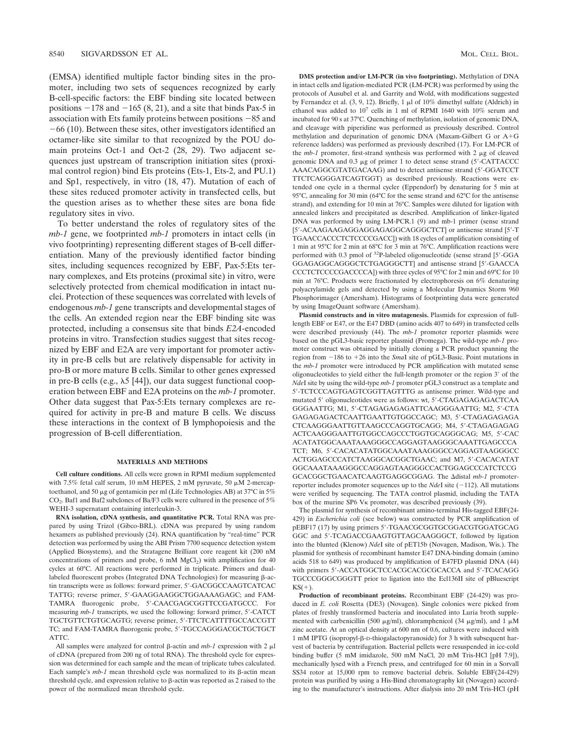(EMSA) identified multiple factor binding sites in the promoter, including two sets of sequences recognized by early B-cell-specific factors: the EBF binding site located between positions  $-178$  and  $-165$  (8, 21), and a site that binds Pax-5 in association with Ets family proteins between positions  $-85$  and  $-66$  (10). Between these sites, other investigators identified an octamer-like site similar to that recognized by the POU domain proteins Oct-1 and Oct-2 (28, 29). Two adjacent sequences just upstream of transcription initiation sites (proximal control region) bind Ets proteins (Ets-1, Ets-2, and PU.1) and Sp1, respectively, in vitro (18, 47). Mutation of each of these sites reduced promoter activity in transfected cells, but the question arises as to whether these sites are bona fide regulatory sites in vivo.

To better understand the roles of regulatory sites of the *mb-1* gene, we footprinted *mb-1* promoters in intact cells (in vivo footprinting) representing different stages of B-cell differentiation. Many of the previously identified factor binding sites, including sequences recognized by EBF, Pax-5:Ets ternary complexes, and Ets proteins (proximal site) in vitro, were selectively protected from chemical modification in intact nuclei. Protection of these sequences was correlated with levels of endogenous *mb-1* gene transcripts and developmental stages of the cells. An extended region near the EBF binding site was protected, including a consensus site that binds *E2A*-encoded proteins in vitro. Transfection studies suggest that sites recognized by EBF and E2A are very important for promoter activity in pre-B cells but are relatively dispensable for activity in pro-B or more mature B cells. Similar to other genes expressed in pre-B cells (e.g.,  $\lambda$ 5 [44]), our data suggest functional cooperation between EBF and E2A proteins on the *mb-1* promoter. Other data suggest that Pax-5:Ets ternary complexes are required for activity in pre-B and mature B cells. We discuss these interactions in the context of B lymphopoiesis and the progression of B-cell differentiation.

### **MATERIALS AND METHODS**

**Cell culture conditions.** All cells were grown in RPMI medium supplemented with 7.5% fetal calf serum, 10 mM HEPES, 2 mM pyruvate, 50  $\mu$ M 2-mercaptoethanol, and 50  $\mu$ g of gentamicin per ml (Life Technologies AB) at 37°C in 5% CO2. Baf1 and Baf2 subclones of Ba/F3 cells were cultured in the presence of 5% WEHI-3 supernatant containing interleukin-3.

**RNA isolation, cDNA synthesis, and quantitative PCR.** Total RNA was prepared by using Trizol (Gibco-BRL). cDNA was prepared by using random hexamers as published previously (24). RNA quantification by "real-time" PCR detection was performed by using the ABI Prism 7700 sequence detection system (Applied Biosystems), and the Stratagene Brilliant core reagent kit (200 nM concentrations of primers and probe, 6 mM  $MgCl<sub>2</sub>$ ) with amplification for 40 cycles at 60°C. All reactions were performed in triplicate. Primers and duallabeled fluorescent probes (Integrated DNA Technologies) for measuring  $\beta$ -actin transcripts were as follows: forward primer, 5'-GACGGCCAAGTCATCAC TATTG; reverse primer, 5'-GAAGGAAGGCTGGAAAAGAGC; and FAM-TAMRA fluorogenic probe, 5-CAACGAGCGGTTCCGATGCCC. For measuring  $mb-1$  transcripts, we used the following: forward primer, 5'-CATCT TGCTGTTCTGTGCAGTG; reverse primer, 5-TTCTCATTTTGCCACCGTT TC; and FAM-TAMRA fluorogenic probe, 5'-TGCCAGGGACGCTGCTGCT ATTC.

All samples were analyzed for control  $\beta$ -actin and *mb-1* expression with 2  $\mu$ l of cDNA (prepared from 200 ng of total RNA). The threshold cycle for expression was determined for each sample and the mean of triplicate tubes calculated. Each sample's  $mb-1$  mean threshold cycle was normalized to its  $\beta$ -actin mean threshold cycle, and expression relative to  $\beta$ -actin was reported as 2 raised to the power of the normalized mean threshold cycle.

**DMS protection and/or LM-PCR (in vivo footprinting).** Methylation of DNA in intact cells and ligation-mediated PCR (LM-PCR) was performed by using the protocols of Ausubel et al. and Garrity and Wold, with modifications suggested by Fernandez et al. (3, 9, 12). Briefly, 1  $\mu$ l of 10% dimethyl sulfate (Aldrich) in ethanol was added to  $10^7$  cells in 1 ml of RPMI 1640 with  $10\%$  serum and incubated for 90 s at 37°C. Quenching of methylation, isolation of genomic DNA, and cleavage with piperidine was performed as previously described. Control methylation and depurination of genomic DNA (Maxam-Gilbert G or  $A + G$ reference ladders) was performed as previously described (17). For LM-PCR of the  $mb-1$  promoter, first-strand synthesis was performed with  $2 \mu g$  of cleaved genomic DNA and  $0.3 \mu$ g of primer 1 to detect sense strand (5'-CATTACCC) AAACAGGCGTATGACAAG) and to detect antisense strand (5-GGATCCT TTCTCAGGGATCAGTGGT) as described previously. Reactions were extended one cycle in a thermal cycler (Eppendorf) by denaturing for 5 min at 95°C, annealing for 30 min (64°C for the sense strand and 62°C for the antisense strand), and extending for 10 min at 76°C. Samples were diluted for ligation with annealed linkers and precipitated as described. Amplification of linker-ligated DNA was performed by using LM-PCR.1 (9) and mb-1 primer (sense strand [5'-ACAAGAAGAGGAGGAGAGGCAGGGCTCT] or antisense strand [5'-T TGAACCACCCTCTCCCCGACC]) with 18 cycles of amplification consisting of 1 min at 95°C for 2 min at 68°C for 3 min at 76°C. Amplification reactions were performed with 0.3 pmol of <sup>32</sup>P-labeled oligonucleotide (sense strand [5'-GGA GGAGAGGCAGGGCTCTGAGGGCTT] and antisense strand [5-GAACCA CCCTCTCCCCGACCCCA]) with three cycles of 95°C for 2 min and 69°C for 10 min at 76°C. Products were fractionated by electrophoresis on 6% denaturing polyacrylamide gels and detected by using a Molecular Dynamics Storm 960 Phosphorimager (Amersham). Histograms of footprinting data were generated by using ImageQuant software (Amersham).

**Plasmid constructs and in vitro mutagenesis.** Plasmids for expression of fulllength EBF or E47, or the E47 DBD (amino acids 407 to 649) in transfected cells were described previously (44). The *mb-1* promoter reporter plasmids were based on the pGL3-basic reporter plasmid (Promega). The wild-type *mb-1* promoter construct was obtained by initially cloning a PCR product spanning the region from  $-186$  to  $+26$  into the *SmaI* site of pGL3-Basic. Point mutations in the *mb-1* promoter were introduced by PCR amplification with mutated sense oligonucleotides to yield either the full-length promoter or the region 3' of the *Nde*I site by using the wild-type *mb-1* promoter pGL3 construct as a template and 5-TCTCCCAGTGAGTCGGTTAGTTTG as antisense primer. Wild-type and mutated 5' oligonucleotides were as follows: wt, 5'-CTAGAGAGAGACTCAA GGGAATTG; M1, 5-CTAGAGAGAGATTCAAGGGAATTG; M2, 5-CTA GAGAGAGACTCAATTGAATTGTGGCCAGC; M3, 5'-CTAGAGAGAGA CTCAAGGGAATTGTTAAGCCCAGGTGCAGG; M4, 5-CTAGAGAGAG ACTCAAGGGAATTGTGGCCAGCCCTGGTGCAGGGCAG; M5, 5-CAC ACATATGGCAAATAAAGGGCCAGGAGTAAGGGCAAATTGAGCCCA TCT; M6, 5'-CACACATATGGCAAATAAAGGGCCAGGAGTAAGGGCC ACTGGAGCCCATCTAAGGCACGGCTGAAC; and M7, 5-CACACATAT GGCAAATAAAGGGCCAGGAGTAAGGGCCACTGGAGCCCATCTCCG GCACGGCTGAACATCAAGTGAGGCGGAG. The distal *mb-1* promoterreporter includes promoter sequences up to the  $NdeI$  site  $(-112)$ . All mutations were verified by sequencing. The TATA control plasmid, including the TATA box of the murine SP6  $V_K$  promoter, was described previously (39).

The plasmid for synthesis of recombinant amino-terminal His-tagged EBF(24- 429) in *Escherichia coli* (see below) was constructed by PCR amplification of pEBF17 (17) by using primers 5'-TGAACGCGGTGCGGACGTGGATGCAG GGC and 5-TCAGACCGAAGTGTTAGCAAGGGCT, followed by ligation into the blunted (Klenow) *Nde*I site of pET15b (Novagen, Madison, Wis.). The plasmid for synthesis of recombinant hamster E47 DNA-binding domain (amino acids 518 to 649) was produced by amplification of E47FD plasmid DNA (44) with primers 5'-ACCATGGCTCCACGCACGCGCACCA and 5'-TCACAGG TGCCCGGGCGGGTT prior to ligation into the Ecl136II site of pBluescript  $KS(+)$ .

**Production of recombinant proteins.** Recombinant EBF (24-429) was produced in *E. coli* Rosetta (DE3) (Novagen). Single colonies were picked from plates of freshly transformed bacteria and inoculated into Luria broth supplemented with carbenicillin (500  $\mu$ g/ml), chloramphenicol (34  $\mu$ g/ml), and 1  $\mu$ M zinc acetate. At an optical density at 600 nm of 0.6, cultures were induced with 1 mM IPTG (isopropyl-β-D-thiogalactopyranoside) for 3 h with subsequent harvest of bacteria by centrifugation. Bacterial pellets were resuspended in ice-cold binding buffer (5 mM imidazole, 500 mM NaCl, 20 mM Tris-HCl [pH 7.9]), mechanically lysed with a French press, and centrifuged for 60 min in a Sorvall SS34 rotor at 15,000 rpm to remove bacterial debris. Soluble EBF(24-429) protein was purified by using a His-Bind chromatography kit (Novagen) according to the manufacturer's instructions. After dialysis into 20 mM Tris-HCl (pH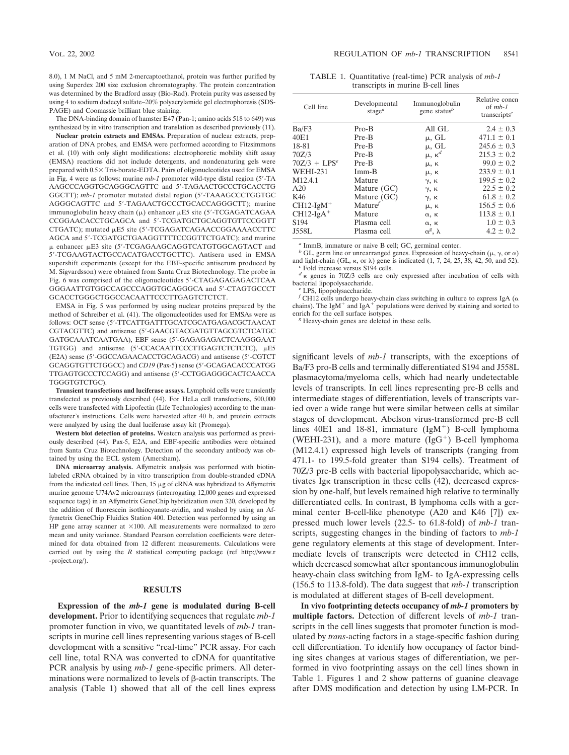8.0), 1 M NaCl, and 5 mM 2-mercaptoethanol, protein was further purified by using Superdex 200 size exclusion chromatography. The protein concentration was determined by the Bradford assay (Bio-Rad). Protein purity was assessed by using 4 to sodium dodecyl sulfate–20% polyacrylamide gel electrophoresis (SDS-PAGE) and Coomassie brilliant blue staining.

The DNA-binding domain of hamster E47 (Pan-1; amino acids 518 to 649) was synthesized by in vitro transcription and translation as described previously (11).

**Nuclear protein extracts and EMSAs.** Preparation of nuclear extracts, preparation of DNA probes, and EMSA were performed according to Fitzsimmons et al. (10) with only slight modifications: electrophoretic mobility shift assay (EMSA) reactions did not include detergents, and nondenaturing gels were prepared with  $0.5 \times$  Tris-borate-EDTA. Pairs of oligonucleotides used for EMSA in Fig. 4 were as follows: murine *mb-1* promoter wild-type distal region (5-TA AAGCCCAGGTGCAGGGCAGTTC and 5-TAGAACTGCCCTGCACCTG GGCTT); *mb-1* promoter mutated distal region (5'-TAAAGCCCTGGTGC AGGGCAGTTC and 5-TAGAACTGCCCTGCACCAGGGCTT); murine immunoglobulin heavy chain  $(\mu)$  enhancer  $\mu$ E5 site (5'-TCGAGATCAGAA CCGGAACACCTGCAGCA and 5-TCGATGCTGCAGGTGTTCCGGTT CTGATC); mutated µE5 site (5'-TCGAGATCAGAACCGGAAAACCTTC AGCA and 5'-TCGATGCTGAAGGTTTTCCGGTTCTGATC); and murine  $\mu$  enhancer  $\mu$ E3 site (5'-TCGAGAAGCAGGTCATGTGGCAGTACT and 5-TCGAAGTACTGCCACATGACCTGCTTC). Antisera used in EMSA supershift experiments (except for the EBF-specific antiserum produced by M. Sigvardsson) were obtained from Santa Cruz Biotechnology. The probe in Fig. 6 was comprised of the oligonucleotides 5'-CTAGAGAGAGACTCAA GGGAATTGTGGCCAGCCCAGGTGCAGGGCA and 5-CTAGTGCCCT GCACCTGGGCTGGCCACAATTCCCTTGAGTCTCTCT.

EMSA in Fig. 5 was performed by using nuclear proteins prepared by the method of Schreiber et al. (41). The oligonucleotides used for EMSAs were as follows: OCT sense (5-TTCATTGATTTGCATCGCATGAGACGCTAACAT CGTACGTTC) and antisense (5-GAACGTACGATGTTAGCGTCTCATGC GATGCAAATCAATGAA), EBF sense (5-GAGAGAGACTCAAGGGAAT TGTGG) and antisense (5'-CCACAATTCCCTTGAGTCTCTCTC),  $\mu$ E5 (E2A) sense (5-GGCCAGAACACCTGCAGACG) and antisense (5-CGTCT GCAGGTGTTCTGGCC) and *CD19* (Pax-5) sense (5'-GCAGACACCCATGG TTGAGTGCCCTCCAGG) and antisense (5-CCTGGAGGGCACTCAACCA TGGGTGTCTGC).

**Transient transfections and luciferase assays.** Lymphoid cells were transiently transfected as previously described (44). For HeLa cell transfections, 500,000 cells were transfected with Lipofectin (Life Technologies) according to the manufacturer's instructions. Cells were harvested after 40 h, and protein extracts were analyzed by using the dual luciferase assay kit (Promega).

**Western blot detection of proteins.** Western analysis was performed as previously described (44). Pax-5, E2A, and EBF-specific antibodies were obtained from Santa Cruz Biotechnology. Detection of the secondary antibody was obtained by using the ECL system (Amersham).

**DNA microarray analysis.** Affymetrix analysis was performed with biotinlabeled cRNA obtained by in vitro transcription from double-stranded cDNA from the indicated cell lines. Then,  $15 \mu g$  of cRNA was hybridized to Affymetrix murine genome U74Av2 microarrays (interrogating 12,000 genes and expressed sequence tags) in an Affymetrix GeneChip hybridization oven 320, developed by the addition of fluorescein isothiocyanate-avidin, and washed by using an Affymetrix GeneChip Fluidics Station 400. Detection was performed by using an HP gene array scanner at  $\times 100$ . All measurements were normalized to zero mean and unity variance. Standard Pearson correlation coefficients were determined for data obtained from 12 different measurements. Calculations were carried out by using the *R* statistical computing package (ref http://www.r -project.org/).

## **RESULTS**

**Expression of the** *mb-1* **gene is modulated during B-cell development.** Prior to identifying sequences that regulate *mb-1* promoter function in vivo, we quantitated levels of *mb-1* transcripts in murine cell lines representing various stages of B-cell development with a sensitive "real-time" PCR assay. For each cell line, total RNA was converted to cDNA for quantitative PCR analysis by using *mb-1* gene-specific primers. All determinations were normalized to levels of  $\beta$ -actin transcripts. The analysis (Table 1) showed that all of the cell lines express

|                                    | TABLE 1. Quantitative (real-time) PCR analysis of <i>mb-1</i> |  |
|------------------------------------|---------------------------------------------------------------|--|
| transcripts in murine B-cell lines |                                                               |  |

| Cell line           | Developmental<br>stage <sup><math>a</math></sup> | Immunoglobulin<br>gene status <sup>b</sup> | Relative concn<br>of $mb-1$<br>transcripts <sup><math>c</math></sup> |
|---------------------|--------------------------------------------------|--------------------------------------------|----------------------------------------------------------------------|
| Ba/F3               | $Pro-B$                                          | All GL                                     | $2.4 \pm 0.3$                                                        |
| 40 <sub>E1</sub>    | Pre-B                                            | $\mu$ , GL                                 | $471.1 \pm 0.1$                                                      |
| 18-81               | Pre-B                                            | $\mu$ , GL                                 | $245.6 \pm 0.3$                                                      |
| 70Z/3               | Pre-B                                            | $\mu$ , κ <sup>d</sup>                     | $215.3 \pm 0.2$                                                      |
| $70Z/3 + LPSe$      | Pre-B                                            | μ, κ                                       | $99.0 \pm 0.2$                                                       |
| <b>WEHI-231</b>     | $Imm-B$                                          | μ, κ                                       | $233.9 \pm 0.1$                                                      |
| M <sub>12.4.1</sub> | Mature                                           | $\gamma$ , $\kappa$                        | $199.5 \pm 0.2$                                                      |
| A20                 | Mature (GC)                                      | $\gamma$ , $\kappa$                        | $22.5 \pm 0.2$                                                       |
| K46                 | Mature (GC)                                      | $\gamma$ , $\kappa$                        | $61.8 \pm 0.2$                                                       |
| $CH12-IgM+$         | $\text{Mature}^f$                                | μ, κ                                       | $156.5 \pm 0.6$                                                      |
| $CH12-IgA+$         | Mature                                           | $\alpha$ , $\kappa$                        | $113.8 \pm 0.1$                                                      |
| S <sub>194</sub>    | Plasma cell                                      | $\alpha$ , $\kappa$                        | $1.0 \pm 0.3$                                                        |
| J558L               | Plasma cell                                      | $α^g$ , λ                                  | $4.2 \pm 0.2$                                                        |

*<sup>a</sup>* ImmB, immature or naive B cell; GC, germinal center.

 $^{b}$  GL, germ line or unrearranged genes. Expression of heavy-chain ( $\mu$ ,  $\gamma$ , or  $\alpha$ ) and light-chain (GL,  $\kappa$ , or  $\lambda$ ) gene is indicated (1, 7, 24, 25, 38, 42, 50, and 52). *c* Fold increase versus S194 cells.

 $\frac{d}{dx}$  genes in 70Z/3 cells are only expressed after incubation of cells with bacterial lipopolysaccharide. *<sup>e</sup>* LPS, lipopolysaccharide.

 $f$  CH12 cells undergo heavy-chain class switching in culture to express IgA ( $\alpha$ chains). The IgM<sup>+</sup> and IgA<sup>+</sup> populations were derived by staining and sorted to enrich for the cell surface isotypes.

<sup>g</sup> Heavy-chain genes are deleted in these cells.

significant levels of *mb-1* transcripts, with the exceptions of Ba/F3 pro-B cells and terminally differentiated S194 and J558L plasmacytoma/myeloma cells, which had nearly undetectable levels of transcripts. In cell lines representing pre-B cells and intermediate stages of differentiation, levels of transcripts varied over a wide range but were similar between cells at similar stages of development. Abelson virus-transformed pre-B cell lines  $40E1$  and  $18-81$ , immature  $(IgM^+)$  B-cell lymphoma (WEHI-231), and a more mature  $(IgG^+)$  B-cell lymphoma (M12.4.1) expressed high levels of transcripts (ranging from 471.1- to 199.5-fold greater than S194 cells). Treatment of 70Z/3 pre-B cells with bacterial lipopolysaccharide, which activates Ig $\kappa$  transcription in these cells (42), decreased expression by one-half, but levels remained high relative to terminally differentiated cells. In contrast, B lymphoma cells with a germinal center B-cell-like phenotype (A20 and K46 [7]) expressed much lower levels (22.5- to 61.8-fold) of *mb-1* transcripts, suggesting changes in the binding of factors to *mb-1* gene regulatory elements at this stage of development. Intermediate levels of transcripts were detected in CH12 cells, which decreased somewhat after spontaneous immunoglobulin heavy-chain class switching from IgM- to IgA-expressing cells (156.5 to 113.8-fold). The data suggest that *mb-1* transcription is modulated at different stages of B-cell development.

**In vivo footprinting detects occupancy of** *mb-1* **promoters by multiple factors.** Detection of different levels of *mb-1* transcripts in the cell lines suggests that promoter function is modulated by *trans*-acting factors in a stage-specific fashion during cell differentiation. To identify how occupancy of factor binding sites changes at various stages of differentiation, we performed in vivo footprinting assays on the cell lines shown in Table 1. Figures 1 and 2 show patterns of guanine cleavage after DMS modification and detection by using LM-PCR. In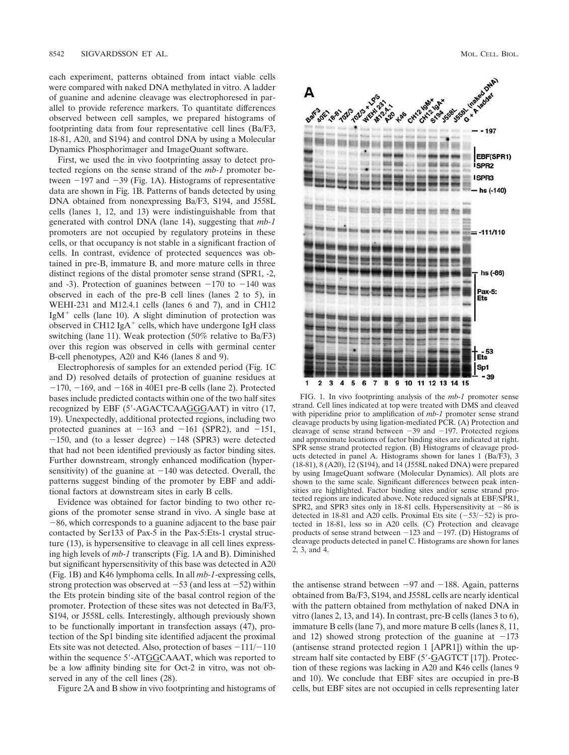each experiment, patterns obtained from intact viable cells were compared with naked DNA methylated in vitro. A ladder of guanine and adenine cleavage was electrophoresed in parallel to provide reference markers. To quantitate differences observed between cell samples, we prepared histograms of footprinting data from four representative cell lines (Ba/F3, 18-81, A20, and S194) and control DNA by using a Molecular Dynamics Phosphorimager and ImageQuant software.

First, we used the in vivo footprinting assay to detect protected regions on the sense strand of the *mb-1* promoter between  $-197$  and  $-39$  (Fig. 1A). Histograms of representative data are shown in Fig. 1B. Patterns of bands detected by using DNA obtained from nonexpressing Ba/F3, S194, and J558L cells (lanes 1, 12, and 13) were indistinguishable from that generated with control DNA (lane 14), suggesting that *mb-1* promoters are not occupied by regulatory proteins in these cells, or that occupancy is not stable in a significant fraction of cells. In contrast, evidence of protected sequences was obtained in pre-B, immature B, and more mature cells in three distinct regions of the distal promoter sense strand (SPR1, -2, and -3). Protection of guanines between  $-170$  to  $-140$  was observed in each of the pre-B cell lines (lanes 2 to 5), in WEHI-231 and M12.4.1 cells (lanes 6 and 7), and in CH12 IgM<sup>+</sup> cells (lane 10). A slight diminution of protection was observed in CH12 IgA<sup>+</sup> cells, which have undergone IgH class switching (lane 11). Weak protection (50% relative to Ba/F3) over this region was observed in cells with germinal center B-cell phenotypes, A20 and K46 (lanes 8 and 9).

Electrophoresis of samples for an extended period (Fig. 1C and D) resolved details of protection of guanine residues at  $-170$ ,  $-169$ , and  $-168$  in 40E1 pre-B cells (lane 2). Protected bases include predicted contacts within one of the two half sites recognized by EBF (5-AGACTCAAGGGAAT) in vitro (17, 19). Unexpectedly, additional protected regions, including two protected guanines at  $-163$  and  $-161$  (SPR2), and  $-151$ ,  $-150$ , and (to a lesser degree)  $-148$  (SPR3) were detected that had not been identified previously as factor binding sites. Further downstream, strongly enhanced modification (hypersensitivity) of the guanine at  $-140$  was detected. Overall, the patterns suggest binding of the promoter by EBF and additional factors at downstream sites in early B cells.

Evidence was obtained for factor binding to two other regions of the promoter sense strand in vivo. A single base at  $-86$ , which corresponds to a guanine adjacent to the base pair contacted by Ser133 of Pax-5 in the Pax-5:Ets-1 crystal structure (13), is hypersensitive to cleavage in all cell lines expressing high levels of *mb-1* transcripts (Fig. 1A and B). Diminished but significant hypersensitivity of this base was detected in A20 (Fig. 1B) and K46 lymphoma cells. In all *mb-1*-expressing cells, strong protection was observed at  $-53$  (and less at  $-52$ ) within the Ets protein binding site of the basal control region of the promoter. Protection of these sites was not detected in Ba/F3, S194, or J558L cells. Interestingly, although previously shown to be functionally important in transfection assays (47), protection of the Sp1 binding site identified adjacent the proximal Ets site was not detected. Also, protection of bases  $-111/-110$ within the sequence 5'-ATGGCAAAT, which was reported to be a low affinity binding site for Oct-2 in vitro, was not observed in any of the cell lines (28).

Figure 2A and B show in vivo footprinting and histograms of



FIG. 1. In vivo footprinting analysis of the *mb-1* promoter sense strand. Cell lines indicated at top were treated with DMS and cleaved with piperidine prior to amplification of *mb-1* promoter sense strand cleavage products by using ligation-mediated PCR. (A) Protection and cleavage of sense strand between  $-39$  and  $-197$ . Protected regions and approximate locations of factor binding sites are indicated at right. SPR sense strand protected region. (B) Histograms of cleavage products detected in panel A. Histograms shown for lanes 1 (Ba/F3), 3 (18-81), 8 (A20), 12 (S194), and 14 (J558L naked DNA) were prepared by using ImageQuant software (Molecular Dynamics). All plots are shown to the same scale. Significant differences between peak intensities are highlighted. Factor binding sites and/or sense strand protected regions are indicated above. Note reduced signals at EBF/SPR1, SPR2, and SPR3 sites only in 18-81 cells. Hypersensitivity at  $-86$  is detected in 18-81 and A20 cells. Proximal Ets site  $(-53/-52)$  is protected in 18-81, less so in A20 cells. (C) Protection and cleavage products of sense strand between  $-123$  and  $-197$ . (D) Histograms of cleavage products detected in panel C. Histograms are shown for lanes 2, 3, and 4.

the antisense strand between  $-97$  and  $-188$ . Again, patterns obtained from Ba/F3, S194, and J558L cells are nearly identical with the pattern obtained from methylation of naked DNA in vitro (lanes 2, 13, and 14). In contrast, pre-B cells (lanes 3 to 6), immature B cells (lane 7), and more mature B cells (lanes 8, 11, and 12) showed strong protection of the guanine at  $-173$ (antisense strand protected region 1 [APR1]) within the upstream half site contacted by EBF (5'-GAGTCT [17]). Protection of these regions was lacking in A20 and K46 cells (lanes 9 and 10). We conclude that EBF sites are occupied in pre-B cells, but EBF sites are not occupied in cells representing later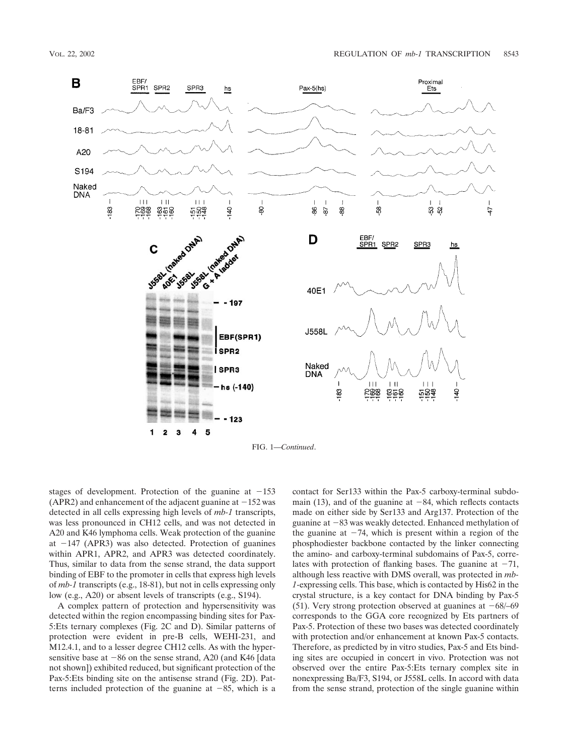

stages of development. Protection of the guanine at  $-153$ (APR2) and enhancement of the adjacent guanine at  $-152$  was detected in all cells expressing high levels of *mb-1* transcripts, was less pronounced in CH12 cells, and was not detected in A20 and K46 lymphoma cells. Weak protection of the guanine at  $-147$  (APR3) was also detected. Protection of guanines within APR1, APR2, and APR3 was detected coordinately. Thus, similar to data from the sense strand, the data support binding of EBF to the promoter in cells that express high levels of *mb-1* transcripts (e.g., 18-81), but not in cells expressing only low (e.g., A20) or absent levels of transcripts (e.g., S194).

A complex pattern of protection and hypersensitivity was detected within the region encompassing binding sites for Pax-5:Ets ternary complexes (Fig. 2C and D). Similar patterns of protection were evident in pre-B cells, WEHI-231, and M12.4.1, and to a lesser degree CH12 cells. As with the hypersensitive base at  $-86$  on the sense strand, A20 (and K46 [data not shown]) exhibited reduced, but significant protection of the Pax-5:Ets binding site on the antisense strand (Fig. 2D). Patterns included protection of the guanine at  $-85$ , which is a

contact for Ser133 within the Pax-5 carboxy-terminal subdomain (13), and of the guanine at  $-84$ , which reflects contacts made on either side by Ser133 and Arg137. Protection of the guanine at  $-83$  was weakly detected. Enhanced methylation of the guanine at  $-74$ , which is present within a region of the phosphodiester backbone contacted by the linker connecting the amino- and carboxy-terminal subdomains of Pax-5, correlates with protection of flanking bases. The guanine at  $-71$ , although less reactive with DMS overall, was protected in *mb-1*-expressing cells. This base, which is contacted by His62 in the crystal structure, is a key contact for DNA binding by Pax-5 (51). Very strong protection observed at guanines at  $-68/-69$ corresponds to the GGA core recognized by Ets partners of Pax-5. Protection of these two bases was detected coordinately with protection and/or enhancement at known Pax-5 contacts. Therefore, as predicted by in vitro studies, Pax-5 and Ets binding sites are occupied in concert in vivo. Protection was not observed over the entire Pax-5:Ets ternary complex site in nonexpressing Ba/F3, S194, or J558L cells. In accord with data from the sense strand, protection of the single guanine within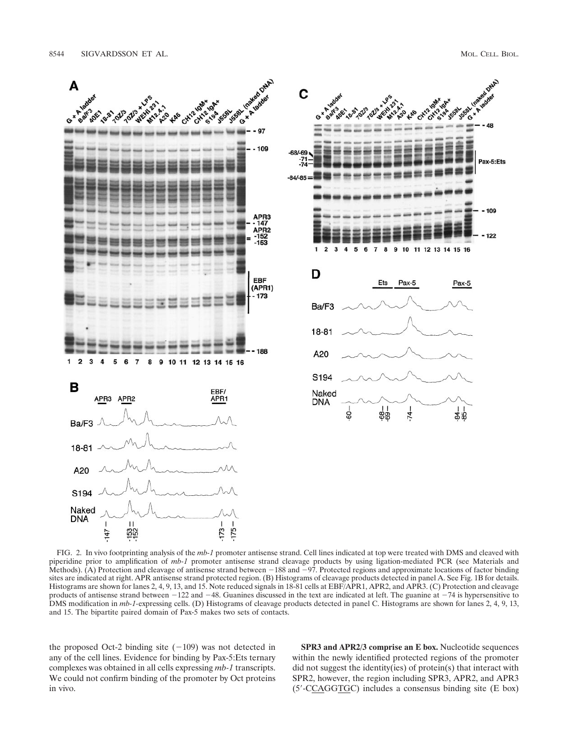ONA

Pax-5:Ets

 $-109$ 

122

Pax-5

 $$48$ 



FIG. 2. In vivo footprinting analysis of the *mb-1* promoter antisense strand. Cell lines indicated at top were treated with DMS and cleaved with piperidine prior to amplification of *mb-1* promoter antisense strand cleavage products by using ligation-mediated PCR (see Materials and Methods). (A) Protection and cleavage of antisense strand between  $-188$  and  $-97$ . Protected regions and approximate locations of factor binding sites are indicated at right. APR antisense strand protected region. (B) Histograms of cleavage products detected in panel A. See Fig. 1B for details. Histograms are shown for lanes 2, 4, 9, 13, and 15. Note reduced signals in 18-81 cells at EBF/APR1, APR2, and APR3. (C) Protection and cleavage products of antisense strand between  $-122$  and  $-48$ . Guanines discussed in the text are indicated at left. The guanine at  $-74$  is hypersensitive to DMS modification in *mb-1-*expressing cells. (D) Histograms of cleavage products detected in panel C. Histograms are shown for lanes 2, 4, 9, 13, and 15. The bipartite paired domain of Pax-5 makes two sets of contacts.

the proposed Oct-2 binding site  $(-109)$  was not detected in any of the cell lines. Evidence for binding by Pax-5:Ets ternary complexes was obtained in all cells expressing *mb-1* transcripts. We could not confirm binding of the promoter by Oct proteins in vivo.

**SPR3 and APR2/3 comprise an E box.** Nucleotide sequences within the newly identified protected regions of the promoter did not suggest the identity(ies) of protein(s) that interact with SPR2, however, the region including SPR3, APR2, and APR3 (5-CCAGGTGC) includes a consensus binding site (E box)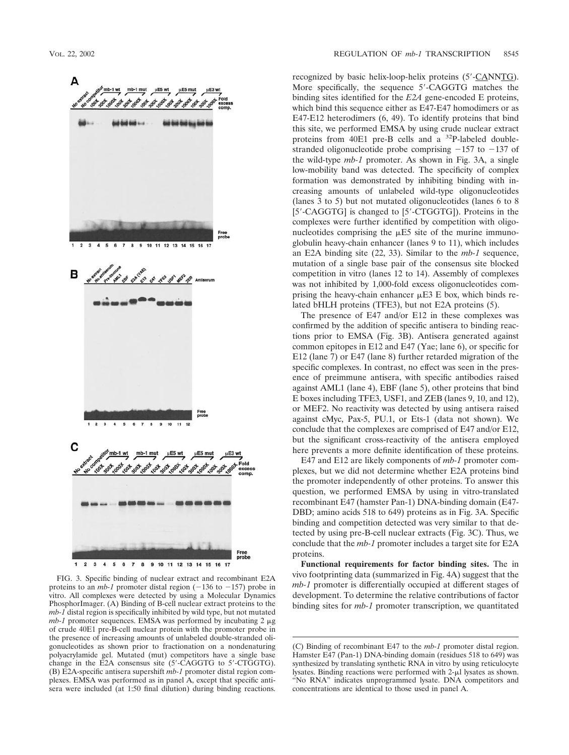

FIG. 3. Specific binding of nuclear extract and recombinant E2A proteins to an *mb-1* promoter distal region  $(-136$  to  $-157)$  probe in vitro. All complexes were detected by using a Molecular Dynamics PhosphorImager. (A) Binding of B-cell nuclear extract proteins to the *mb-1* distal region is specifically inhibited by wild type, but not mutated *mb-1* promoter sequences. EMSA was performed by incubating  $2 \mu$ g of crude 40E1 pre-B-cell nuclear protein with the promoter probe in the presence of increasing amounts of unlabeled double-stranded oligonucleotides as shown prior to fractionation on a nondenaturing polyacrylamide gel. Mutated (mut) competitors have a single base change in the E2A consensus site (5-CAGGTG to 5-CTGGTG). (B) E2A-specific antisera supershift *mb-1* promoter distal region complexes. EMSA was performed as in panel A, except that specific antisera were included (at 1:50 final dilution) during binding reactions.

recognized by basic helix-loop-helix proteins (5-CANNTG). More specifically, the sequence 5'-CAGGTG matches the binding sites identified for the *E2A* gene-encoded E proteins, which bind this sequence either as E47-E47 homodimers or as E47-E12 heterodimers (6, 49). To identify proteins that bind this site, we performed EMSA by using crude nuclear extract proteins from 40E1 pre-B cells and a 32P-labeled doublestranded oligonucleotide probe comprising  $-157$  to  $-137$  of the wild-type *mb-1* promoter. As shown in Fig. 3A, a single low-mobility band was detected. The specificity of complex formation was demonstrated by inhibiting binding with increasing amounts of unlabeled wild-type oligonucleotides (lanes 3 to 5) but not mutated oligonucleotides (lanes 6 to 8 [5'-CAGGTG] is changed to [5'-CTGGTG]). Proteins in the complexes were further identified by competition with oligonucleotides comprising the  $E$ 5 site of the murine immunoglobulin heavy-chain enhancer (lanes 9 to 11), which includes an E2A binding site (22, 33). Similar to the *mb-1* sequence, mutation of a single base pair of the consensus site blocked competition in vitro (lanes 12 to 14). Assembly of complexes was not inhibited by 1,000-fold excess oligonucleotides comprising the heavy-chain enhancer  $\mu$ E3 E box, which binds related bHLH proteins (TFE3), but not E2A proteins (5).

The presence of E47 and/or E12 in these complexes was confirmed by the addition of specific antisera to binding reactions prior to EMSA (Fig. 3B). Antisera generated against common epitopes in E12 and E47 (Yae; lane 6), or specific for E12 (lane 7) or E47 (lane 8) further retarded migration of the specific complexes. In contrast, no effect was seen in the presence of preimmune antisera, with specific antibodies raised against AML1 (lane 4), EBF (lane 5), other proteins that bind E boxes including TFE3, USF1, and ZEB (lanes 9, 10, and 12), or MEF2. No reactivity was detected by using antisera raised against cMyc, Pax-5, PU.1, or Ets-1 (data not shown). We conclude that the complexes are comprised of E47 and/or E12, but the significant cross-reactivity of the antisera employed here prevents a more definite identification of these proteins.

E47 and E12 are likely components of *mb-1* promoter complexes, but we did not determine whether E2A proteins bind the promoter independently of other proteins. To answer this question, we performed EMSA by using in vitro-translated recombinant E47 (hamster Pan-1) DNA-binding domain (E47- DBD; amino acids 518 to 649) proteins as in Fig. 3A. Specific binding and competition detected was very similar to that detected by using pre-B-cell nuclear extracts (Fig. 3C). Thus, we conclude that the *mb-1* promoter includes a target site for E2A proteins.

**Functional requirements for factor binding sites.** The in vivo footprinting data (summarized in Fig. 4A) suggest that the *mb-1* promoter is differentially occupied at different stages of development. To determine the relative contributions of factor binding sites for *mb-1* promoter transcription, we quantitated

<sup>(</sup>C) Binding of recombinant E47 to the *mb-1* promoter distal region. Hamster E47 (Pan-1) DNA-binding domain (residues 518 to 649) was synthesized by translating synthetic RNA in vitro by using reticulocyte lysates. Binding reactions were performed with 2-µl lysates as shown. "No RNA" indicates unprogrammed lysate. DNA competitors and concentrations are identical to those used in panel A.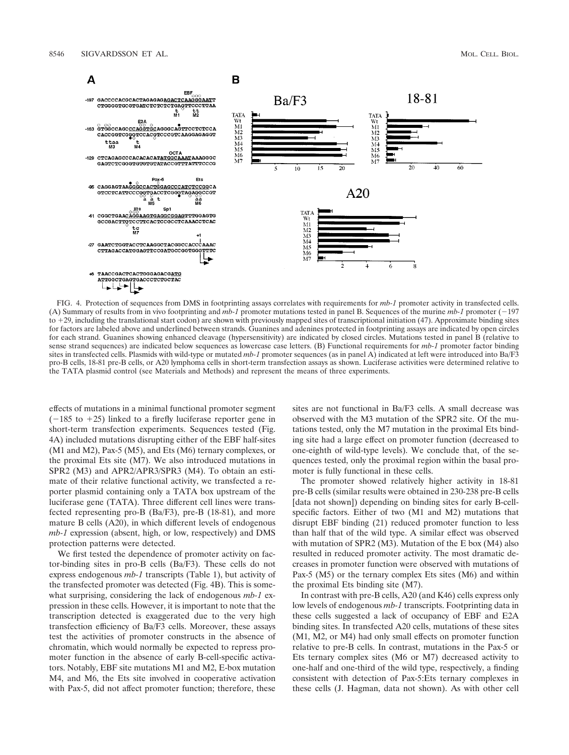

FIG. 4. Protection of sequences from DMS in footprinting assays correlates with requirements for *mb-1* promoter activity in transfected cells. (A) Summary of results from in vivo footprinting and *mb-1* promoter mutations tested in panel B. Sequences of the murine *mb-1* promoter (197 to 29, including the translational start codon) are shown with previously mapped sites of transcriptional initiation (47). Approximate binding sites for factors are labeled above and underlined between strands. Guanines and adenines protected in footprinting assays are indicated by open circles for each strand. Guanines showing enhanced cleavage (hypersensitivity) are indicated by closed circles. Mutations tested in panel B (relative to sense strand sequences) are indicated below sequences as lowercase case letters. (B) Functional requirements for *mb-1* promoter factor binding sites in transfected cells. Plasmids with wild-type or mutated *mb-1* promoter sequences (as in panel A) indicated at left were introduced into Ba/F3 pro-B cells, 18-81 pre-B cells, or A20 lymphoma cells in short-term transfection assays as shown. Luciferase activities were determined relative to the TATA plasmid control (see Materials and Methods) and represent the means of three experiments.

effects of mutations in a minimal functional promoter segment  $(-185$  to  $+25)$  linked to a firefly luciferase reporter gene in short-term transfection experiments. Sequences tested (Fig. 4A) included mutations disrupting either of the EBF half-sites (M1 and M2), Pax-5 (M5), and Ets (M6) ternary complexes, or the proximal Ets site (M7). We also introduced mutations in SPR2 (M3) and APR2/APR3/SPR3 (M4). To obtain an estimate of their relative functional activity, we transfected a reporter plasmid containing only a TATA box upstream of the luciferase gene (TATA). Three different cell lines were transfected representing pro-B (Ba/F3), pre-B (18-81), and more mature B cells (A20), in which different levels of endogenous *mb-1* expression (absent, high, or low, respectively) and DMS protection patterns were detected.

We first tested the dependence of promoter activity on factor-binding sites in pro-B cells (Ba/F3). These cells do not express endogenous *mb-1* transcripts (Table 1), but activity of the transfected promoter was detected (Fig. 4B). This is somewhat surprising, considering the lack of endogenous *mb-1* expression in these cells. However, it is important to note that the transcription detected is exaggerated due to the very high transfection efficiency of Ba/F3 cells. Moreover, these assays test the activities of promoter constructs in the absence of chromatin, which would normally be expected to repress promoter function in the absence of early B-cell-specific activators. Notably, EBF site mutations M1 and M2, E-box mutation M4, and M6, the Ets site involved in cooperative activation with Pax-5, did not affect promoter function; therefore, these

sites are not functional in Ba/F3 cells. A small decrease was observed with the M3 mutation of the SPR2 site. Of the mutations tested, only the M7 mutation in the proximal Ets binding site had a large effect on promoter function (decreased to one-eighth of wild-type levels). We conclude that, of the sequences tested, only the proximal region within the basal promoter is fully functional in these cells.

The promoter showed relatively higher activity in 18-81 pre-B cells (similar results were obtained in 230-238 pre-B cells [data not shown]) depending on binding sites for early B-cellspecific factors. Either of two (M1 and M2) mutations that disrupt EBF binding (21) reduced promoter function to less than half that of the wild type. A similar effect was observed with mutation of SPR2 (M3). Mutation of the E box (M4) also resulted in reduced promoter activity. The most dramatic decreases in promoter function were observed with mutations of Pax-5 (M5) or the ternary complex Ets sites (M6) and within the proximal Ets binding site (M7).

In contrast with pre-B cells, A20 (and K46) cells express only low levels of endogenous *mb-1* transcripts. Footprinting data in these cells suggested a lack of occupancy of EBF and E2A binding sites. In transfected A20 cells, mutations of these sites (M1, M2, or M4) had only small effects on promoter function relative to pre-B cells. In contrast, mutations in the Pax-5 or Ets ternary complex sites (M6 or M7) decreased activity to one-half and one-third of the wild type, respectively, a finding consistent with detection of Pax-5:Ets ternary complexes in these cells (J. Hagman, data not shown). As with other cell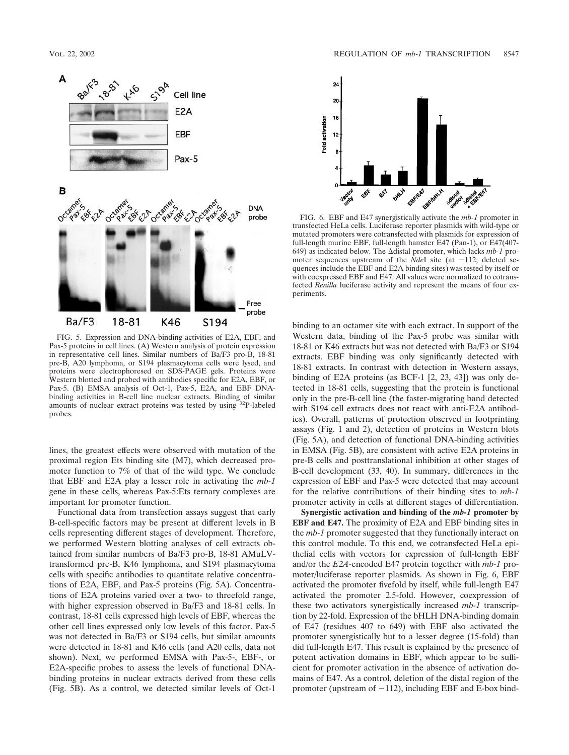

FIG. 5. Expression and DNA-binding activities of E2A, EBF, and Pax-5 proteins in cell lines. (A) Western analysis of protein expression in representative cell lines. Similar numbers of Ba/F3 pro-B, 18-81 pre-B, A20 lymphoma, or S194 plasmacytoma cells were lysed, and proteins were electrophoresed on SDS-PAGE gels. Proteins were Western blotted and probed with antibodies specific for E2A, EBF, or Pax-5. (B) EMSA analysis of Oct-1, Pax-5, E2A, and EBF DNAbinding activities in B-cell line nuclear extracts. Binding of similar amounts of nuclear extract proteins was tested by using <sup>32</sup>P-labeled probes.

lines, the greatest effects were observed with mutation of the proximal region Ets binding site (M7), which decreased promoter function to 7% of that of the wild type. We conclude that EBF and E2A play a lesser role in activating the *mb-1* gene in these cells, whereas Pax-5:Ets ternary complexes are important for promoter function.

Functional data from transfection assays suggest that early B-cell-specific factors may be present at different levels in B cells representing different stages of development. Therefore, we performed Western blotting analyses of cell extracts obtained from similar numbers of Ba/F3 pro-B, 18-81 AMuLVtransformed pre-B, K46 lymphoma, and S194 plasmacytoma cells with specific antibodies to quantitate relative concentrations of E2A, EBF, and Pax-5 proteins (Fig. 5A). Concentrations of E2A proteins varied over a two- to threefold range, with higher expression observed in Ba/F3 and 18-81 cells. In contrast, 18-81 cells expressed high levels of EBF, whereas the other cell lines expressed only low levels of this factor. Pax-5 was not detected in Ba/F3 or S194 cells, but similar amounts were detected in 18-81 and K46 cells (and A20 cells, data not shown). Next, we performed EMSA with Pax-5-, EBF-, or E2A-specific probes to assess the levels of functional DNAbinding proteins in nuclear extracts derived from these cells (Fig. 5B). As a control, we detected similar levels of Oct-1



FIG. 6. EBF and E47 synergistically activate the *mb-1* promoter in transfected HeLa cells. Luciferase reporter plasmids with wild-type or mutated promoters were cotransfected with plasmids for expression of full-length murine EBF, full-length hamster E47 (Pan-1), or E47(407- 649) as indicated below. The distal promoter, which lacks *mb-1* promoter sequences upstream of the *NdeI* site (at  $-112$ ; deleted sequences include the EBF and E2A binding sites) was tested by itself or with coexpressed EBF and E47. All values were normalized to cotransfected *Renilla* luciferase activity and represent the means of four experiments.

binding to an octamer site with each extract. In support of the Western data, binding of the Pax-5 probe was similar with 18-81 or K46 extracts but was not detected with Ba/F3 or S194 extracts. EBF binding was only significantly detected with 18-81 extracts. In contrast with detection in Western assays, binding of E2A proteins (as BCF-1 [2, 23, 43]) was only detected in 18-81 cells, suggesting that the protein is functional only in the pre-B-cell line (the faster-migrating band detected with S194 cell extracts does not react with anti-E2A antibodies). Overall, patterns of protection observed in footprinting assays (Fig. 1 and 2), detection of proteins in Western blots (Fig. 5A), and detection of functional DNA-binding activities in EMSA (Fig. 5B), are consistent with active E2A proteins in pre-B cells and posttranslational inhibition at other stages of B-cell development (33, 40). In summary, differences in the expression of EBF and Pax-5 were detected that may account for the relative contributions of their binding sites to *mb-1* promoter activity in cells at different stages of differentiation.

**Synergistic activation and binding of the** *mb-1* **promoter by EBF and E47.** The proximity of E2A and EBF binding sites in the *mb-1* promoter suggested that they functionally interact on this control module. To this end, we cotransfected HeLa epithelial cells with vectors for expression of full-length EBF and/or the *E2A*-encoded E47 protein together with *mb-1* promoter/luciferase reporter plasmids. As shown in Fig. 6, EBF activated the promoter fivefold by itself, while full-length E47 activated the promoter 2.5-fold. However, coexpression of these two activators synergistically increased *mb-1* transcription by 22-fold. Expression of the bHLH DNA-binding domain of E47 (residues 407 to 649) with EBF also activated the promoter synergistically but to a lesser degree (15-fold) than did full-length E47. This result is explained by the presence of potent activation domains in EBF, which appear to be sufficient for promoter activation in the absence of activation domains of E47. As a control, deletion of the distal region of the promoter (upstream of  $-112$ ), including EBF and E-box bind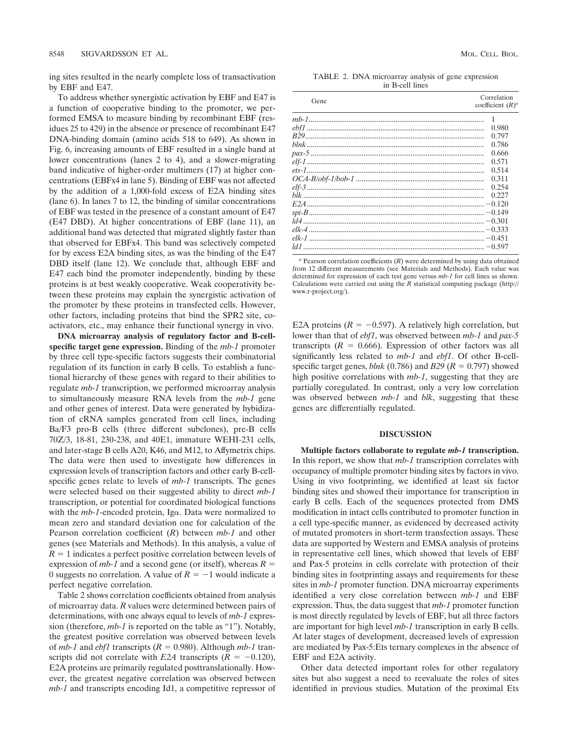ing sites resulted in the nearly complete loss of transactivation by EBF and E47.

To address whether synergistic activation by EBF and E47 is a function of cooperative binding to the promoter, we performed EMSA to measure binding by recombinant EBF (residues 25 to 429) in the absence or presence of recombinant E47 DNA-binding domain (amino acids 518 to 649). As shown in Fig. 6, increasing amounts of EBF resulted in a single band at lower concentrations (lanes 2 to 4), and a slower-migrating band indicative of higher-order multimers (17) at higher concentrations (EBFx4 in lane 5). Binding of EBF was not affected by the addition of a 1,000-fold excess of E2A binding sites (lane 6). In lanes 7 to 12, the binding of similar concentrations of EBF was tested in the presence of a constant amount of E47 (E47 DBD). At higher concentrations of EBF (lane 11), an additional band was detected that migrated slightly faster than that observed for EBFx4. This band was selectively competed for by excess E2A binding sites, as was the binding of the E47 DBD itself (lane 12). We conclude that, although EBF and E47 each bind the promoter independently, binding by these proteins is at best weakly cooperative. Weak cooperativity between these proteins may explain the synergistic activation of the promoter by these proteins in transfected cells. However, other factors, including proteins that bind the SPR2 site, coactivators, etc., may enhance their functional synergy in vivo.

**DNA microarray analysis of regulatory factor and B-cellspecific target gene expression.** Binding of the *mb-1* promoter by three cell type-specific factors suggests their combinatorial regulation of its function in early B cells. To establish a functional hierarchy of these genes with regard to their abilities to regulate *mb-1* transcription, we performed microarray analysis to simultaneously measure RNA levels from the *mb-1* gene and other genes of interest. Data were generated by hybidization of cRNA samples generated from cell lines, including Ba/F3 pro-B cells (three different subclones), pre-B cells 70Z/3, 18-81, 230-238, and 40E1, immature WEHI-231 cells, and later-stage B cells A20, K46, and M12, to Affymetrix chips. The data were then used to investigate how differences in expression levels of transcription factors and other early B-cellspecific genes relate to levels of *mb-1* transcripts. The genes were selected based on their suggested ability to direct *mb-1* transcription, or potential for coordinated biological functions with the *mb-1*-encoded protein, Iga. Data were normalized to mean zero and standard deviation one for calculation of the Pearson correlation coefficient (*R*) between *mb-1* and other genes (see Materials and Methods). In this analysis, a value of  $R = 1$  indicates a perfect positive correlation between levels of expression of *mb-1* and a second gene (or itself), whereas  $R =$ 0 suggests no correlation. A value of  $R = -1$  would indicate a perfect negative correlation.

Table 2 shows correlation coefficients obtained from analysis of microarray data. *R* values were determined between pairs of determinations, with one always equal to levels of *mb-1* expression (therefore, *mb-1* is reported on the table as "1"). Notably, the greatest positive correlation was observed between levels of  $mb-1$  and  $ebf1$  transcripts ( $R = 0.980$ ). Although  $mb-1$  transcripts did not correlate with *E2A* transcripts  $(R = -0.120)$ , E2A proteins are primarily regulated posttranslationally. However, the greatest negative correlation was observed between *mb-1* and transcripts encoding Id1, a competitive repressor of

TABLE 2. DNA microarray analysis of gene expression in B-cell lines

| Gene | Correlation<br>coefficient $(R)^a$ |
|------|------------------------------------|
|      |                                    |
|      | 0.980                              |
|      | 0.797                              |
|      | 0.786                              |
|      | 0.666                              |
|      | 0.571                              |
|      | 0.514                              |
|      | 0.311                              |
|      | 0.254                              |
|      | 0.227                              |
|      |                                    |
|      |                                    |
|      |                                    |
|      |                                    |
|      |                                    |
|      |                                    |

 $a$  Pearson correlation coefficients  $(R)$  were determined by using data obtained from 12 different measurements (see Materials and Methods). Each value was determined for expression of each test gene versus *mb-1* for cell lines as shown. Calculations were carried out using the *R* statistical computing package (http:// www.r-project.org/).

E2A proteins  $(R = -0.597)$ . A relatively high correlation, but lower than that of *ebf1*, was observed between *mb-1* and *pax-5* transcripts  $(R = 0.666)$ . Expression of other factors was all significantly less related to *mb-1* and *ebf1*. Of other B-cellspecific target genes,  $blnk$  (0.786) and *B29* ( $R = 0.797$ ) showed high positive correlations with *mb-1*, suggesting that they are partially coregulated. In contrast, only a very low correlation was observed between *mb-1* and *blk*, suggesting that these genes are differentially regulated.

# **DISCUSSION**

**Multiple factors collaborate to regulate** *mb-1* **transcription.** In this report, we show that *mb-1* transcription correlates with occupancy of multiple promoter binding sites by factors in vivo. Using in vivo footprinting, we identified at least six factor binding sites and showed their importance for transcription in early B cells. Each of the sequences protected from DMS modification in intact cells contributed to promoter function in a cell type-specific manner, as evidenced by decreased activity of mutated promoters in short-term transfection assays. These data are supported by Western and EMSA analysis of proteins in representative cell lines, which showed that levels of EBF and Pax-5 proteins in cells correlate with protection of their binding sites in footprinting assays and requirements for these sites in *mb-1* promoter function. DNA microarray experiments identified a very close correlation between *mb-1* and EBF expression. Thus, the data suggest that *mb-1* promoter function is most directly regulated by levels of EBF, but all three factors are important for high level *mb-1* transcription in early B cells. At later stages of development, decreased levels of expression are mediated by Pax-5:Ets ternary complexes in the absence of EBF and E2A activity.

Other data detected important roles for other regulatory sites but also suggest a need to reevaluate the roles of sites identified in previous studies. Mutation of the proximal Ets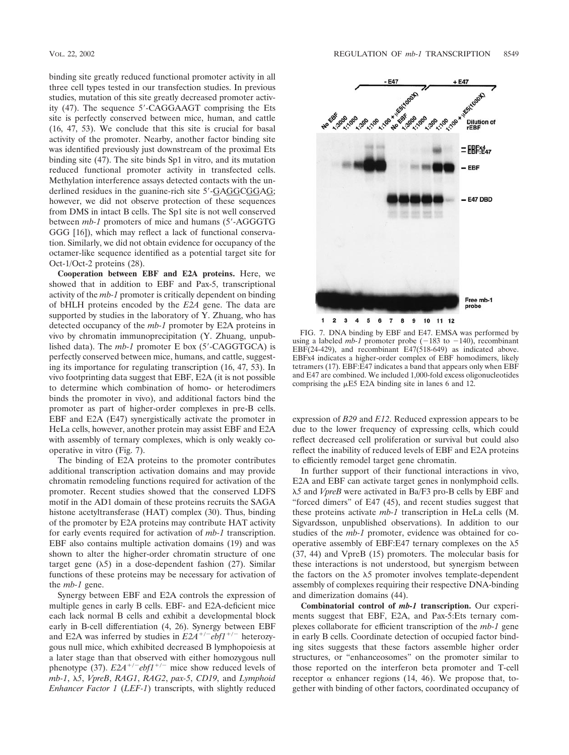binding site greatly reduced functional promoter activity in all three cell types tested in our transfection studies. In previous studies, mutation of this site greatly decreased promoter activity (47). The sequence 5'-CAGGAAGT comprising the Ets site is perfectly conserved between mice, human, and cattle (16, 47, 53). We conclude that this site is crucial for basal activity of the promoter. Nearby, another factor binding site was identified previously just downstream of the proximal Ets binding site (47). The site binds Sp1 in vitro, and its mutation reduced functional promoter activity in transfected cells. Methylation interference assays detected contacts with the underlined residues in the guanine-rich site 5'-GAGGCGGAG; however, we did not observe protection of these sequences from DMS in intact B cells. The Sp1 site is not well conserved between *mb-1* promoters of mice and humans (5-AGGGTG GGG [16]), which may reflect a lack of functional conservation. Similarly, we did not obtain evidence for occupancy of the octamer-like sequence identified as a potential target site for Oct-1/Oct-2 proteins (28).

**Cooperation between EBF and E2A proteins.** Here, we showed that in addition to EBF and Pax-5, transcriptional activity of the *mb-1* promoter is critically dependent on binding of bHLH proteins encoded by the *E2A* gene. The data are supported by studies in the laboratory of Y. Zhuang, who has detected occupancy of the *mb-1* promoter by E2A proteins in vivo by chromatin immunoprecipitation (Y. Zhuang, unpublished data). The *mb-1* promoter E box (5'-CAGGTGCA) is perfectly conserved between mice, humans, and cattle, suggesting its importance for regulating transcription (16, 47, 53). In vivo footprinting data suggest that EBF, E2A (it is not possible to determine which combination of homo- or heterodimers binds the promoter in vivo), and additional factors bind the promoter as part of higher-order complexes in pre-B cells. EBF and E2A (E47) synergistically activate the promoter in HeLa cells, however, another protein may assist EBF and E2A with assembly of ternary complexes, which is only weakly cooperative in vitro (Fig. 7).

The binding of E2A proteins to the promoter contributes additional transcription activation domains and may provide chromatin remodeling functions required for activation of the promoter. Recent studies showed that the conserved LDFS motif in the AD1 domain of these proteins recruits the SAGA histone acetyltransferase (HAT) complex (30). Thus, binding of the promoter by E2A proteins may contribute HAT activity for early events required for activation of *mb-1* transcription. EBF also contains multiple activation domains (19) and was shown to alter the higher-order chromatin structure of one target gene  $(\lambda 5)$  in a dose-dependent fashion (27). Similar functions of these proteins may be necessary for activation of the *mb-1* gene.

Synergy between EBF and E2A controls the expression of multiple genes in early B cells. EBF- and E2A-deficient mice each lack normal B cells and exhibit a developmental block early in B-cell differentiation (4, 26). Synergy between EBF and E2A was inferred by studies in  $E2A^{+/-}ebf1^{+/-}$  heterozygous null mice, which exhibited decreased B lymphopoiesis at a later stage than that observed with either homozygous null phenotype (37).  $E2A^{+/-}ebf1^{+/-}$  mice show reduced levels of *mb-1*, *5*, *VpreB*, *RAG1*, *RAG2*, *pax-5*, *CD19*, and *Lymphoid Enhancer Factor 1* (*LEF-1*) transcripts, with slightly reduced



FIG. 7. DNA binding by EBF and E47. EMSA was performed by using a labeled *mb-1* promoter probe  $(-183 \text{ to } -140)$ , recombinant EBF(24-429), and recombinant E47(518-649) as indicated above. EBFx4 indicates a higher-order complex of EBF homodimers, likely tetramers (17). EBF:E47 indicates a band that appears only when EBF and E47 are combined. We included 1,000-fold excess oligonucleotides comprising the  $\mu$ E5 E2A binding site in lanes 6 and 12.

expression of *B29* and *E12*. Reduced expression appears to be due to the lower frequency of expressing cells, which could reflect decreased cell proliferation or survival but could also reflect the inability of reduced levels of EBF and E2A proteins to efficiently remodel target gene chromatin.

In further support of their functional interactions in vivo, E2A and EBF can activate target genes in nonlymphoid cells. *5* and *VpreB* were activated in Ba/F3 pro-B cells by EBF and "forced dimers" of E47 (45), and recent studies suggest that these proteins activate *mb-1* transcription in HeLa cells (M. Sigvardsson, unpublished observations). In addition to our studies of the *mb-1* promoter, evidence was obtained for cooperative assembly of EBF:E47 ternary complexes on the  $\lambda$ 5 (37, 44) and VpreB (15) promoters. The molecular basis for these interactions is not understood, but synergism between the factors on the  $\lambda$ 5 promoter involves template-dependent assembly of complexes requiring their respective DNA-binding and dimerization domains (44).

**Combinatorial control of** *mb-1* **transcription.** Our experiments suggest that EBF, E2A, and Pax-5:Ets ternary complexes collaborate for efficient transcription of the *mb-1* gene in early B cells. Coordinate detection of occupied factor binding sites suggests that these factors assemble higher order structures, or "enhanceosomes" on the promoter similar to those reported on the interferon beta promoter and T-cell receptor  $\alpha$  enhancer regions (14, 46). We propose that, together with binding of other factors, coordinated occupancy of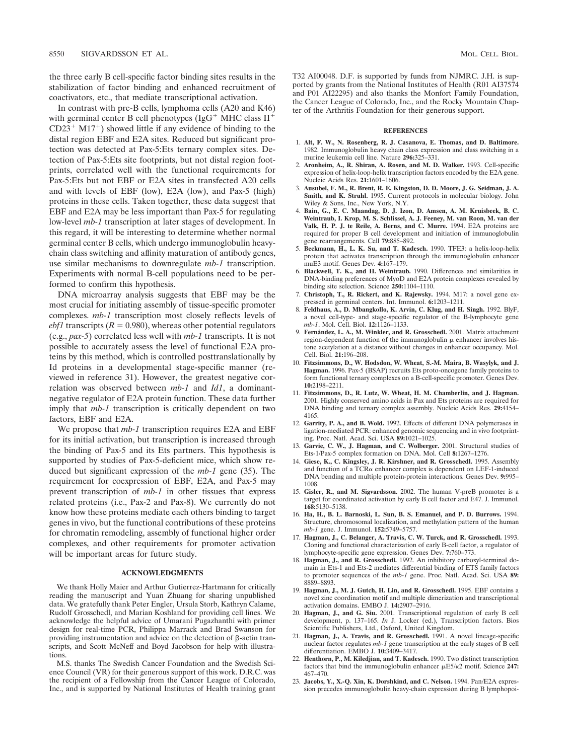the three early B cell-specific factor binding sites results in the stabilization of factor binding and enhanced recruitment of coactivators, etc., that mediate transcriptional activation.

In contrast with pre-B cells, lymphoma cells (A20 and K46) with germinal center B cell phenotypes ( $IgG^+$  MHC class  $II^+$  $CD23^+$  M17<sup>+</sup>) showed little if any evidence of binding to the distal region EBF and E2A sites. Reduced but significant protection was detected at Pax-5:Ets ternary complex sites. Detection of Pax-5:Ets site footprints, but not distal region footprints, correlated well with the functional requirements for Pax-5:Ets but not EBF or E2A sites in transfected A20 cells and with levels of EBF (low), E2A (low), and Pax-5 (high) proteins in these cells. Taken together, these data suggest that EBF and E2A may be less important than Pax-5 for regulating low-level *mb-1* transcription at later stages of development. In this regard, it will be interesting to determine whether normal germinal center B cells, which undergo immunoglobulin heavychain class switching and affinity maturation of antibody genes, use similar mechanisms to downregulate *mb-1* transcription. Experiments with normal B-cell populations need to be performed to confirm this hypothesis.

DNA microarray analysis suggests that EBF may be the most crucial for initiating assembly of tissue-specific promoter complexes. *mb-1* transcription most closely reflects levels of *ebf1* transcripts ( $R = 0.980$ ), whereas other potential regulators (e.g., *pax-5*) correlated less well with *mb-1* transcripts. It is not possible to accurately assess the level of functional E2A proteins by this method, which is controlled posttranslationally by Id proteins in a developmental stage-specific manner (reviewed in reference 31). However, the greatest negative correlation was observed between *mb-1* and *Id1*, a dominantnegative regulator of E2A protein function. These data further imply that *mb-1* transcription is critically dependent on two factors, EBF and E2A.

We propose that *mb-1* transcription requires E2A and EBF for its initial activation, but transcription is increased through the binding of Pax-5 and its Ets partners. This hypothesis is supported by studies of Pax-5-deficient mice, which show reduced but significant expression of the *mb-1* gene (35). The requirement for coexpression of EBF, E2A, and Pax-5 may prevent transcription of *mb-1* in other tissues that express related proteins (i.e., Pax-2 and Pax-8). We currently do not know how these proteins mediate each others binding to target genes in vivo, but the functional contributions of these proteins for chromatin remodeling, assembly of functional higher order complexes, and other requirements for promoter activation will be important areas for future study.

### **ACKNOWLEDGMENTS**

We thank Holly Maier and Arthur Gutierrez-Hartmann for critically reading the manuscript and Yuan Zhuang for sharing unpublished data. We gratefully thank Peter Engler, Ursula Storb, Kathryn Calame, Rudolf Grosschedl, and Marian Koshland for providing cell lines. We acknowledge the helpful advice of Umarani Pugazhanthi with primer design for real-time PCR, Philippa Marrack and Brad Swanson for providing instrumentation and advice on the detection of  $\beta$ -actin transcripts, and Scott McNeff and Boyd Jacobson for help with illustrations.

M.S. thanks The Swedish Cancer Foundation and the Swedish Science Council (VR) for their generous support of this work. D.R.C. was the recipient of a Fellowship from the Cancer League of Colorado, Inc., and is supported by National Institutes of Health training grant T32 AI00048. D.F. is supported by funds from NJMRC. J.H. is supported by grants from the National Institutes of Health (R01 AI37574 and P01 AI22295) and also thanks the Monfort Family Foundation, the Cancer League of Colorado, Inc., and the Rocky Mountain Chapter of the Arthritis Foundation for their generous support.

#### **REFERENCES**

- 1. **Alt, F. W., N. Rosenberg, R. J. Casanova, E. Thomas, and D. Baltimore.** 1982. Immunoglobulin heavy chain class expression and class switching in a murine leukemia cell line. Nature **296:**325–331.
- 2. **Aronheim, A., R. Shiran, A. Rosen, and M. D. Walker.** 1993. Cell-specific expression of helix-loop-helix transcription factors encoded by the E2A gene. Nucleic Acids Res. **21:**1601–1606.
- 3. **Ausubel, F. M., R. Brent, R. E. Kingston, D. D. Moore, J. G. Seidman, J. A. Smith, and K. Struhl.** 1995. Current protocols in molecular biology. John Wiley & Sons, Inc., New York, N.Y.
- 4. **Bain, G., E. C. Maandag, D. J. Izon, D. Amsen, A. M. Kruisbeek, B. C. Weintraub, I. Krop, M. S. Schlissel, A. J. Feeney, M. van Roon, M. van der Valk, H. P. J. te Reile, A. Berns, and C. Murre.** 1994. E2A proteins are required for proper B cell development and initiation of immunoglobulin gene rearrangements. Cell **79:**885–892.
- 5. **Beckmann, H., L. K. Su, and T. Kadesch.** 1990. TFE3: a helix-loop-helix protein that activates transcription through the immunoglobulin enhancer muE3 motif. Genes Dev. **4:**167–179.
- 6. **Blackwell, T. K., and H. Weintraub.** 1990. Differences and similarities in DNA-binding preferences of MyoD and E2A protein complexes revealed by binding site selection. Science **250:**1104–1110.
- 7. **Christoph, T., R. Rickert, and K. Rajewsky.** 1994. M17: a novel gene expressed in germinal centers. Int. Immunol. **6:**1203–1211.
- 8. **Feldhaus, A., D. Mbangkollo, K. Arvin, C. Klug, and H. Singh.** 1992. BlyF, a novel cell-type- and stage-specific regulator of the B-lymphocyte gene *mb-1*. Mol. Cell. Biol. **12:**1126–1133.
- 9. **Ferna´ndez, L. A., M. Winkler, and R. Grosschedl.** 2001. Matrix attachment region-dependent function of the immunoglobulin  $\mu$  enhancer involves histone acetylation at a distance without changes in enhancer occupancy. Mol. Cell. Biol. **21:**196–208.
- 10. **Fitzsimmons, D., W. Hodsdon, W. Wheat, S.-M. Maira, B. Wasylyk, and J. Hagman.** 1996. Pax-5 (BSAP) recruits Ets proto-oncogene family proteins to form functional ternary complexes on a B-cell-specific promoter. Genes Dev. **10:**2198–2211.
- 11. **Fitzsimmons, D., R. Lutz, W. Wheat, H. M. Chamberlin, and J. Hagman.** 2001. Highly conserved amino acids in Pax and Ets proteins are required for DNA binding and ternary complex assembly. Nucleic Acids Res. **29:**4154– 4165.
- 12. **Garrity, P. A., and B. Wold.** 1992. Effects of different DNA polymerases in ligation-mediated PCR: enhanced genomic sequencing and in vivo footprinting. Proc. Natl. Acad. Sci. USA **89:**1021–1025.
- 13. **Garvie, C. W., J. Hagman, and C. Wolberger.** 2001. Structural studies of Ets-1/Pax-5 complex formation on DNA. Mol. Cell **8:**1267–1276.
- 14. **Giese, K., C. Kingsley, J. R. Kirshner, and R. Grosschedl.** 1995. Assembly and function of a  $TCR\alpha$  enhancer complex is dependent on LEF-1-induced DNA bending and multiple protein-protein interactions. Genes Dev. **9:**995– 1008.
- 15. **Gisler, R., and M. Sigvardsson.** 2002. The human V-preB promoter is a target for coordinated activation by early B cell factor and E47. J. Immunol. **168:**5130–5138.
- 16. **Ha, H., B. L. Barnoski, L. Sun, B. S. Emanuel, and P. D. Burrows.** 1994. Structure, chromosomal localization, and methylation pattern of the human *mb-1* gene. J. Immunol. **152:**5749–5757.
- 17. **Hagman, J., C. Belanger, A. Travis, C. W. Turck, and R. Grosschedl.** 1993. Cloning and functional characterization of early B-cell factor, a regulator of lymphocyte-specific gene expression. Genes Dev. **7:**760–773.
- 18. **Hagman, J., and R. Grosschedl.** 1992. An inhibitory carboxyl-terminal domain in Ets-1 and Ets-2 mediates differential binding of ETS family factors to promoter sequences of the *mb-1* gene. Proc. Natl. Acad. Sci. USA **89:** 8889–8893.
- 19. **Hagman, J., M. J. Gutch, H. Lin, and R. Grosschedl.** 1995. EBF contains a novel zinc coordination motif and multiple dimerization and transcriptional activation domains. EMBO J. **14:**2907–2916.
- 20. **Hagman, J., and G. Siu.** 2001. Transcriptional regulation of early B cell development, p. 137–165. *In* J. Locker (ed.), Transcription factors. Bios Scientific Publishers, Ltd., Oxford, United Kingdom.
- 21. **Hagman, J., A. Travis, and R. Grosschedl.** 1991. A novel lineage-specific nuclear factor regulates *mb-1* gene transcription at the early stages of B cell differentiation. EMBO J. **10:**3409–3417.
- 22. **Henthorn, P., M. Kiledjian, and T. Kadesch.** 1990. Two distinct transcription factors that bind the immunoglobulin enhancer  $\mu$ E5/ $\kappa$ 2 motif. Science 247: 467–470.
- 23. **Jacobs, Y., X.-Q. Xin, K. Dorshkind, and C. Nelson.** 1994. Pan/E2A expression precedes immunoglobulin heavy-chain expression during B lymphopoi-